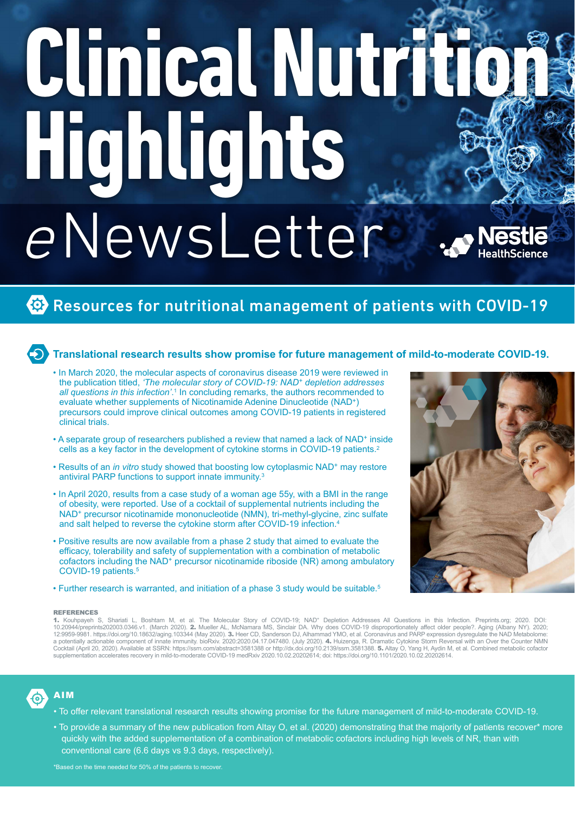# **ClinicalNutrition** <sup>e</sup>NewsLetter **Highlights**

# Resources for nutritional management of patients with COVID-19

# **Translational research results show promise for future management of mild-to-moderate COVID-19.**

- In March 2020, the molecular aspects of coronavirus disease 2019 were reviewed in the publication titled, *'The molecular story of COVID-19: NAD+ depletion addresses all questions in this infection'*. 1 In concluding remarks, the authors recommended to evaluate whether supplements of Nicotinamide Adenine Dinucleotide (NAD+) precursors could improve clinical outcomes among COVID-19 patients in registered clinical trials.
- A separate group of researchers published a review that named a lack of NAD+ inside cells as a key factor in the development of cytokine storms in COVID-19 patients.2
- Results of an *in vitro* study showed that boosting low cytoplasmic NAD<sup>+</sup> may restore antiviral PARP functions to support innate immunity.3
- In April 2020, results from a case study of a woman age 55y, with a BMI in the range of obesity, were reported. Use of a cocktail of supplemental nutrients including the NAD+ precursor nicotinamide mononucleotide (NMN), tri-methyl-glycine, zinc sulfate and salt helped to reverse the cytokine storm after COVID-19 infection.4
- Positive results are now available from a phase 2 study that aimed to evaluate the efficacy, tolerability and safety of supplementation with a combination of metabolic cofactors including the NAD<sup>+</sup> precursor nicotinamide riboside (NR) among ambulatory COVID-19 patients.5
- Further research is warranted, and initiation of a phase 3 study would be suitable.<sup>5</sup>

### REFERENCES

**1.** Kouhpayeh S, Shariati L, Boshtam M, et al. The Molecular Story of COVID-19; NAD\* Depletion Addresses All Questions in this Infection. Preprints.org; 2020. DOI:<br>10.20944/preprints202003.0346.v1. (March 2020). **2.** Muel a potentially actionable component of innate immunity. bioRxiv. 2020:2020.04.17.047480. (July 2020). **4.** Huizenga, R. Dramatic Cytokine Storm Reversal with an Over the Counter NMN<br>Cocktail (April 20, 2020). Available at S supplementation accelerates recovery in mild-to-moderate COVID-19 medRxiv 2020.10.02.20202614; doi: https://doi.org/10.1101/2020.10.02.20202614.

# AIM

- To offer relevant translational research results showing promise for the future management of mild-to-moderate COVID-19.
- To provide a summary of the new publication from Altay O, et al. (2020) demonstrating that the majority of patients recover\* more quickly with the added supplementation of a combination of metabolic cofactors including high levels of NR, than with conventional care (6.6 days vs 9.3 days, respectively).

\*Based on the time needed for 50% of the patients to recover.